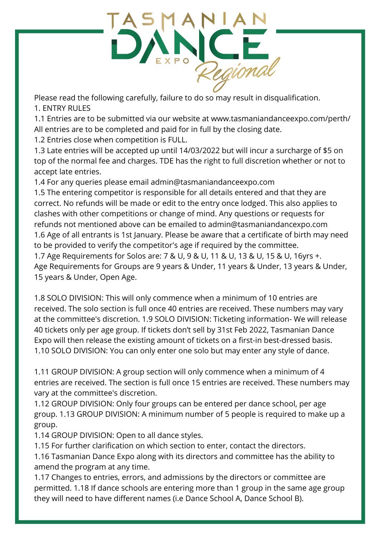

Please read the following carefully, failure to do so may result in disqualification. 1. ENTRY RULES

1.1 Entries are to be submitted via our website at www.tasmaniandanceexpo.com/perth/ All entries are to be completed and paid for in full by the closing date.

1.2 Entries close when competition is FULL.

1.3 Late entries will be accepted up until 14/03/2022 but will incur a surcharge of \$5 on top of the normal fee and charges. TDE has the right to full discretion whether or not to accept late entries.

1.4 For any queries please email admin@tasmaniandanceexpo.com

1.5 The entering competitor is responsible for all details entered and that they are correct. No refunds will be made or edit to the entry once lodged. This also applies to clashes with other competitions or change of mind. Any questions or requests for refunds not mentioned above can be emailed to admin@tasmaniandancexpo.com 1.6 Age of all entrants is 1st January. Please be aware that a certificate of birth may need to be provided to verify the competitor's age if required by the committee.

1.7 Age Requirements for Solos are: 7 & U, 9 & U, 11 & U, 13 & U, 15 & U, 16yrs +. Age Requirements for Groups are 9 years & Under, 11 years & Under, 13 years & Under, 15 years & Under, Open Age.

1.8 SOLO DIVISION: This will only commence when a minimum of 10 entries are received. The solo section is full once 40 entries are received. These numbers may vary at the committee's discretion. 1.9 SOLO DIVISION: Ticketing information- We will release 40 tickets only per age group. If tickets don't sell by 31st Feb 2022, Tasmanian Dance Expo will then release the existing amount of tickets on a first-in best-dressed basis. 1.10 SOLO DIVISION: You can only enter one solo but may enter any style of dance.

1.11 GROUP DIVISION: A group section will only commence when a minimum of 4 entries are received. The section is full once 15 entries are received. These numbers may vary at the committee's discretion.

1.12 GROUP DIVISION: Only four groups can be entered per dance school, per age group. 1.13 GROUP DIVISION: A minimum number of 5 people is required to make up a group.

1.14 GROUP DIVISION: Open to all dance styles.

1.15 For further clarification on which section to enter, contact the directors.

1.16 Tasmanian Dance Expo along with its directors and committee has the ability to amend the program at any time.

1.17 Changes to entries, errors, and admissions by the directors or committee are permitted. 1.18 If dance schools are entering more than 1 group in the same age group they will need to have different names (i.e Dance School A, Dance School B).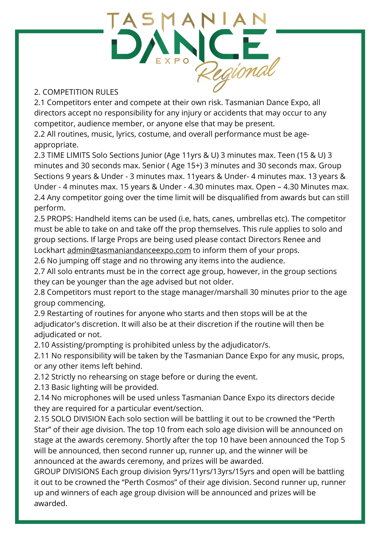

### 2. COMPETITION RULES

2.1 Competitors enter and compete at their own risk. Tasmanian Dance Expo, all directors accept no responsibility for any injury or accidents that may occur to any competitor, audience member, or anyone else that may be present.

2.2 All routines, music, lyrics, costume, and overall performance must be ageappropriate.

2.3 TIME LIMITS Solo Sections Junior (Age 11yrs & U) 3 minutes max. Teen (15 & U) 3 minutes and 30 seconds max. Senior ( Age 15+) 3 minutes and 30 seconds max. Group Sections 9 years & Under - 3 minutes max. 11years & Under- 4 minutes max. 13 years & Under - 4 minutes max. 15 years & Under - 4.30 minutes max. Open – 4.30 Minutes max. 2.4 Any competitor going over the time limit will be disqualified from awards but can still perform.

2.5 PROPS: Handheld items can be used (i.e, hats, canes, umbrellas etc). The competitor must be able to take on and take off the prop themselves. This rule applies to solo and group sections. If large Props are being used please contact Directors Renee and Lockhart [admin@tasmaniandanceexpo.com](mailto:admin@tasmaniandanceexpo.com) to inform them of your props.

2.6 No jumping off stage and no throwing any items into the audience.

2.7 All solo entrants must be in the correct age group, however, in the group sections they can be younger than the age advised but not older.

2.8 Competitors must report to the stage manager/marshall 30 minutes prior to the age group commencing.

2.9 Restarting of routines for anyone who starts and then stops will be at the adjudicator's discretion. It will also be at their discretion if the routine will then be adjudicated or not.

2.10 Assisting/prompting is prohibited unless by the adjudicator/s.

2.11 No responsibility will be taken by the Tasmanian Dance Expo for any music, props, or any other items left behind.

2.12 Strictly no rehearsing on stage before or during the event.

2.13 Basic lighting will be provided.

2.14 No microphones will be used unless Tasmanian Dance Expo its directors decide they are required for a particular event/section.

2.15 SOLO DIVISION Each solo section will be battling it out to be crowned the "Perth Star" of their age division. The top 10 from each solo age division will be announced on stage at the awards ceremony. Shortly after the top 10 have been announced the Top 5 will be announced, then second runner up, runner up, and the winner will be announced at the awards ceremony, and prizes will be awarded.

GROUP DIVISIONS Each group division 9yrs/11yrs/13yrs/15yrs and open will be battling it out to be crowned the "Perth Cosmos" of their age division. Second runner up, runner up and winners of each age group division will be announced and prizes will be awarded.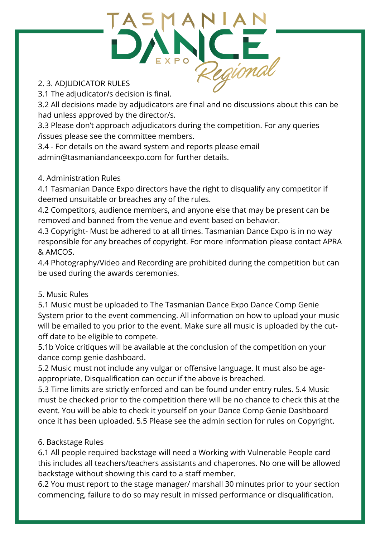

#### 2. 3. ADJUDICATOR RULES

3.1 The adjudicator/s decision is final.

3.2 All decisions made by adjudicators are final and no discussions about this can be had unless approved by the director/s.

3.3 Please don't approach adjudicators during the competition. For any queries /issues please see the committee members.

3.4 - For details on the award system and reports please email [admin@tasmaniandanceexpo.com](mailto:admin@tasmaniandanceexpo.com) for further details.

#### 4. Administration Rules

4.1 Tasmanian Dance Expo directors have the right to disqualify any competitor if deemed unsuitable or breaches any of the rules.

4.2 Competitors, audience members, and anyone else that may be present can be removed and banned from the venue and event based on behavior.

4.3 Copyright- Must be adhered to at all times. Tasmanian Dance Expo is in no way responsible for any breaches of copyright. For more information please contact APRA & AMCOS.

4.4 Photography/Video and Recording are prohibited during the competition but can be used during the awards ceremonies.

# 5. Music Rules

5.1 Music must be uploaded to The Tasmanian Dance Expo Dance Comp Genie System prior to the event commencing. All information on how to upload your music will be emailed to you prior to the event. Make sure all music is uploaded by the cutoff date to be eligible to compete.

5.1b Voice critiques will be available at the conclusion of the competition on your dance comp genie dashboard.

5.2 Music must not include any vulgar or offensive language. It must also be ageappropriate. Disqualification can occur if the above is breached.

5.3 Time limits are strictly enforced and can be found under entry rules. 5.4 Music must be checked prior to the competition there will be no chance to check this at the event. You will be able to check it yourself on your Dance Comp Genie Dashboard once it has been uploaded. 5.5 Please see the admin section for rules on Copyright.

# 6. Backstage Rules

6.1 All people required backstage will need a Working with Vulnerable People card this includes all teachers/teachers assistants and chaperones. No one will be allowed backstage without showing this card to a staff member.

6.2 You must report to the stage manager/ marshall 30 minutes prior to your section commencing, failure to do so may result in missed performance or disqualification.